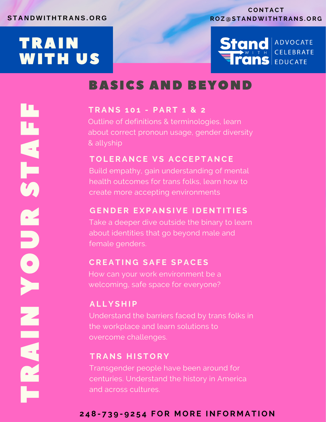# TRAIN WITH US

T

R

A

N

O

U

R

**SA** 

T

A

F

F

Y

### **C O N T ACT R O Z @ S T A N DWI T H T R A N S . O R G**



# BASICS AND BEYOND

## **T R A N S 1 0 1 - P A R T 1 & 2**

Outline of definitions & terminologies, learn about correct pronoun usage, gender diversity & allyship

# **T O L E R A N CE V S ACCE P T A N CE**

Build empathy, gain understanding of mental health outcomes for trans folks, learn how to create more accepting environments

# **G E N D E R E X P A N S I V E I D E N T I T I E S**

Take a deeper dive outside the binary to learn about identities that go beyond male and female genders.

## **CR E A T I N G S A F E S P ACE S**

How can your work environment be a welcoming, safe space for everyone?

# **A L L Y S H I P**

Understand the barriers faced by trans folks in the workplace and learn solutions to overcome challenges.

# $TRANS HISTORY$

Transgender people have been around for centuries. Understand the history in America and across cultures.

# 248-739-9254 FOR MORE INFORMATION